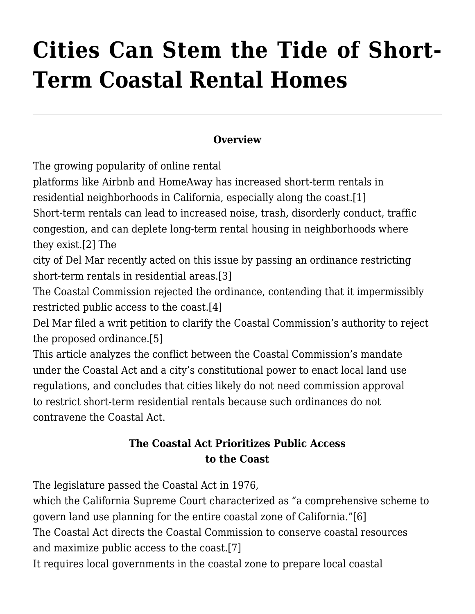# **[Cities Can Stem the Tide of Short-](http://scocablog.com/cities-can-stem-the-tide-of-short-term-coastal-rental-homes/)[Term Coastal Rental Homes](http://scocablog.com/cities-can-stem-the-tide-of-short-term-coastal-rental-homes/)**

#### **Overview**

The growing popularity of online rental

platforms like Airbnb and HomeAway has increased short-term rentals in residential neighborhoods in California, especially along the coast.[\[1\]](#page--1-0) Short-term rentals can lead to increased noise, trash, disorderly conduct, traffic congestion, and can deplete long-term rental housing in neighborhoods where they exist.[\[2\]](#page--1-0) The

city of Del Mar recently acted on this issue by passing an ordinance restricting short-term rentals in residential areas.[\[3\]](#page--1-0)

The Coastal Commission rejected the ordinance, contending that it impermissibly restricted public access to the coast[.\[4\]](#page--1-0)

Del Mar filed a writ petition to clarify the Coastal Commission's authority to reject the proposed ordinance.[\[5\]](#page--1-0)

This article analyzes the conflict between the Coastal Commission's mandate under the Coastal Act and a city's constitutional power to enact local land use regulations, and concludes that cities likely do not need commission approval to restrict short-term residential rentals because such ordinances do not contravene the Coastal Act.

## **The Coastal Act Prioritizes Public Access to the Coast**

The legislature passed the Coastal Act in 1976,

which the California Supreme Court characterized as "a comprehensive scheme to govern land use planning for the entire coastal zone of California.["\[6\]](#page--1-0) The Coastal Act directs the Coastal Commission to conserve coastal resources and maximize public access to the coast.[\[7\]](#page--1-0)

It requires local governments in the coastal zone to prepare local coastal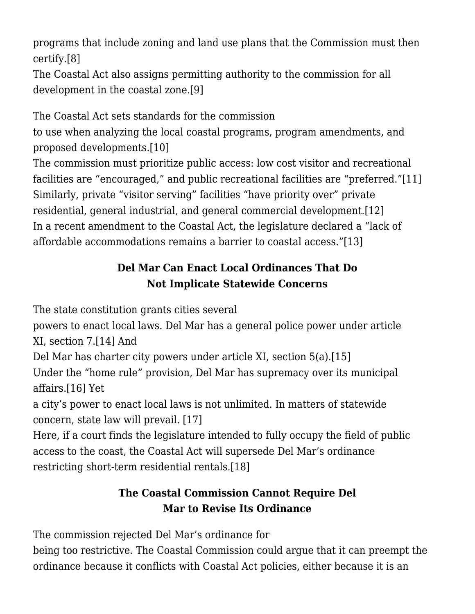programs that include zoning and land use plans that the Commission must then certify[.\[8\]](#page--1-0)

The Coastal Act also assigns permitting authority to the commission for all development in the coastal zone[.\[9\]](#page--1-0)

The Coastal Act sets standards for the commission

to use when analyzing the local coastal programs, program amendments, and proposed developments[.\[10\]](#page--1-0)

The commission must prioritize public access: low cost visitor and recreational facilities are "encouraged," and public recreational facilities are "preferred."[\[11\]](#page--1-0) Similarly, private "visitor serving" facilities "have priority over" private residential, general industrial, and general commercial development[.\[12\]](#page--1-0) In a recent amendment to the Coastal Act, the legislature declared a "lack of affordable accommodations remains a barrier to coastal access.["\[13\]](#page--1-0)

# **Del Mar Can Enact Local Ordinances That Do Not Implicate Statewide Concerns**

The state constitution grants cities several

powers to enact local laws. Del Mar has a general police power under article XI, section 7[.\[14\]](#page--1-0) And

Del Mar has charter city powers under article XI, section 5(a)[.\[15\]](#page--1-0)

Under the "home rule" provision, Del Mar has supremacy over its municipal affairs.[\[16\]](#page--1-0) Yet

a city's power to enact local laws is not unlimited. In matters of statewide concern, state law will prevail. [\[17\]](#page--1-0)

Here, if a court finds the legislature intended to fully occupy the field of public access to the coast, the Coastal Act will supersede Del Mar's ordinance restricting short-term residential rentals[.\[18\]](#page--1-0)

# **The Coastal Commission Cannot Require Del Mar to Revise Its Ordinance**

The commission rejected Del Mar's ordinance for

being too restrictive. The Coastal Commission could argue that it can preempt the ordinance because it conflicts with Coastal Act policies, either because it is an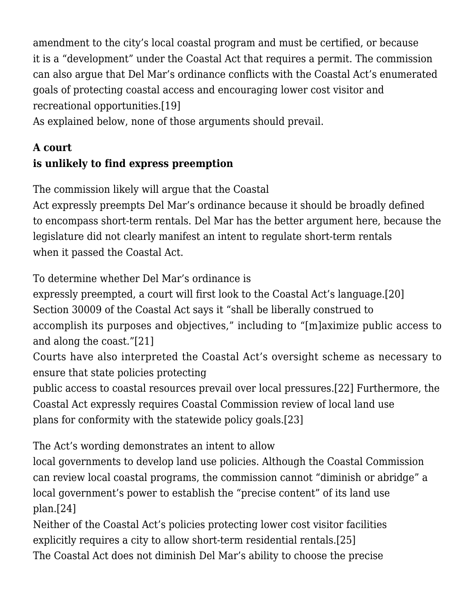amendment to the city's local coastal program and must be certified, or because it is a "development" under the Coastal Act that requires a permit. The commission can also argue that Del Mar's ordinance conflicts with the Coastal Act's enumerated goals of protecting coastal access and encouraging lower cost visitor and recreational opportunities.[\[19\]](#page--1-0)

As explained below, none of those arguments should prevail.

# **A court is unlikely to find express preemption**

The commission likely will argue that the Coastal

Act expressly preempts Del Mar's ordinance because it should be broadly defined to encompass short-term rentals. Del Mar has the better argument here, because the legislature did not clearly manifest an intent to regulate short-term rentals when it passed the Coastal Act.

To determine whether Del Mar's ordinance is

expressly preempted, a court will first look to the Coastal Act's language[.\[20\]](#page--1-0)

Section 30009 of the Coastal Act says it "shall be liberally construed to

accomplish its purposes and objectives," including to "[m]aximize public access to and along the coast.["\[21\]](#page--1-0)

Courts have also interpreted the Coastal Act's oversight scheme as necessary to ensure that state policies protecting

public access to coastal resources prevail over local pressures[.\[22\]](#page--1-0) Furthermore, the Coastal Act expressly requires Coastal Commission review of local land use plans for conformity with the statewide policy goals[.\[23\]](#page--1-0)

The Act's wording demonstrates an intent to allow

local governments to develop land use policies. Although the Coastal Commission can review local coastal programs, the commission cannot "diminish or abridge" a local government's power to establish the "precise content" of its land use plan[.\[24\]](#page--1-0)

Neither of the Coastal Act's policies protecting lower cost visitor facilities explicitly requires a city to allow short-term residential rentals.[\[25\]](#page--1-0)

The Coastal Act does not diminish Del Mar's ability to choose the precise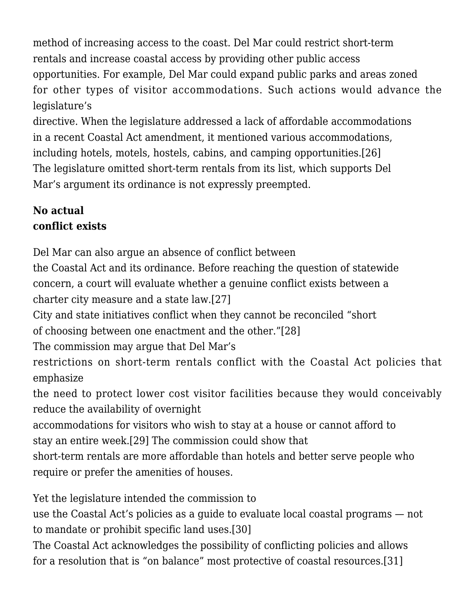method of increasing access to the coast. Del Mar could restrict short-term rentals and increase coastal access by providing other public access opportunities. For example, Del Mar could expand public parks and areas zoned for other types of visitor accommodations. Such actions would advance the legislature's

directive. When the legislature addressed a lack of affordable accommodations in a recent Coastal Act amendment, it mentioned various accommodations, including hotels, motels, hostels, cabins, and camping opportunities[.\[26\]](#page--1-0) The legislature omitted short-term rentals from its list, which supports Del Mar's argument its ordinance is not expressly preempted.

#### **No actual conflict exists**

Del Mar can also argue an absence of conflict between

the Coastal Act and its ordinance. Before reaching the question of statewide concern, a court will evaluate whether a genuine conflict exists between a charter city measure and a state law[.\[27\]](#page--1-0)

City and state initiatives conflict when they cannot be reconciled "short of choosing between one enactment and the other.["\[28\]](#page--1-0)

The commission may argue that Del Mar's

restrictions on short-term rentals conflict with the Coastal Act policies that emphasize

the need to protect lower cost visitor facilities because they would conceivably reduce the availability of overnight

accommodations for visitors who wish to stay at a house or cannot afford to stay an entire week[.\[29\]](#page--1-0) The commission could show that

short-term rentals are more affordable than hotels and better serve people who require or prefer the amenities of houses.

Yet the legislature intended the commission to

use the Coastal Act's policies as a guide to evaluate local coastal programs — not to mandate or prohibit specific land uses.[\[30\]](#page--1-0)

The Coastal Act acknowledges the possibility of conflicting policies and allows for a resolution that is "on balance" most protective of coastal resources.[\[31\]](#page--1-0)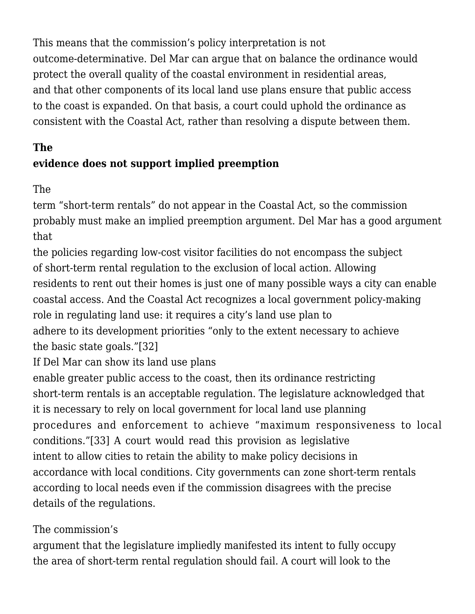This means that the commission's policy interpretation is not outcome-determinative. Del Mar can argue that on balance the ordinance would protect the overall quality of the coastal environment in residential areas, and that other components of its local land use plans ensure that public access to the coast is expanded. On that basis, a court could uphold the ordinance as consistent with the Coastal Act, rather than resolving a dispute between them.

## **The**

# **evidence does not support implied preemption**

The

term "short-term rentals" do not appear in the Coastal Act, so the commission probably must make an implied preemption argument. Del Mar has a good argument that

the policies regarding low-cost visitor facilities do not encompass the subject of short-term rental regulation to the exclusion of local action. Allowing residents to rent out their homes is just one of many possible ways a city can enable coastal access. And the Coastal Act recognizes a local government policy-making role in regulating land use: it requires a city's land use plan to adhere to its development priorities "only to the extent necessary to achieve the basic state goals."[\[32\]](#page--1-0)

If Del Mar can show its land use plans

enable greater public access to the coast, then its ordinance restricting short-term rentals is an acceptable regulation. The legislature acknowledged that it is necessary to rely on local government for local land use planning procedures and enforcement to achieve "maximum responsiveness to local conditions.["\[33\]](#page--1-0) A court would read this provision as legislative intent to allow cities to retain the ability to make policy decisions in accordance with local conditions. City governments can zone short-term rentals according to local needs even if the commission disagrees with the precise details of the regulations.

## The commission's

argument that the legislature impliedly manifested its intent to fully occupy the area of short-term rental regulation should fail. A court will look to the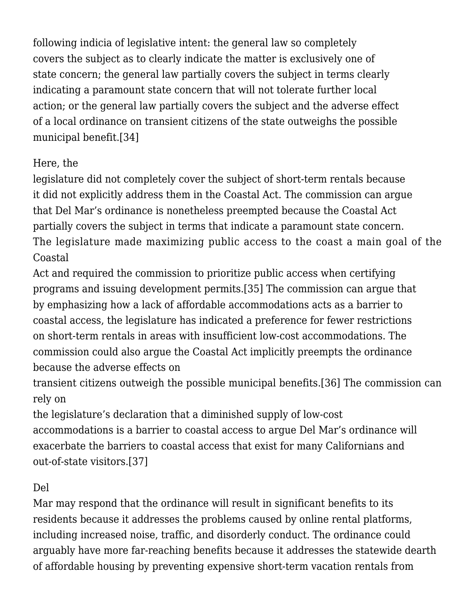following indicia of legislative intent: the general law so completely covers the subject as to clearly indicate the matter is exclusively one of state concern; the general law partially covers the subject in terms clearly indicating a paramount state concern that will not tolerate further local action; or the general law partially covers the subject and the adverse effect of a local ordinance on transient citizens of the state outweighs the possible municipal benefit[.\[34\]](#page--1-0)

#### Here, the

legislature did not completely cover the subject of short-term rentals because it did not explicitly address them in the Coastal Act. The commission can argue that Del Mar's ordinance is nonetheless preempted because the Coastal Act partially covers the subject in terms that indicate a paramount state concern. The legislature made maximizing public access to the coast a main goal of the Coastal

Act and required the commission to prioritize public access when certifying programs and issuing development permits[.\[35\]](#page--1-0) The commission can argue that by emphasizing how a lack of affordable accommodations acts as a barrier to coastal access, the legislature has indicated a preference for fewer restrictions on short-term rentals in areas with insufficient low-cost accommodations. The commission could also argue the Coastal Act implicitly preempts the ordinance because the adverse effects on

transient citizens outweigh the possible municipal benefits.[\[36\]](#page--1-0) The commission can rely on

the legislature's declaration that a diminished supply of low-cost accommodations is a barrier to coastal access to argue Del Mar's ordinance will exacerbate the barriers to coastal access that exist for many Californians and out-of-state visitors.[\[37\]](#page--1-0)

## Del

Mar may respond that the ordinance will result in significant benefits to its residents because it addresses the problems caused by online rental platforms, including increased noise, traffic, and disorderly conduct. The ordinance could arguably have more far-reaching benefits because it addresses the statewide dearth of affordable housing by preventing expensive short-term vacation rentals from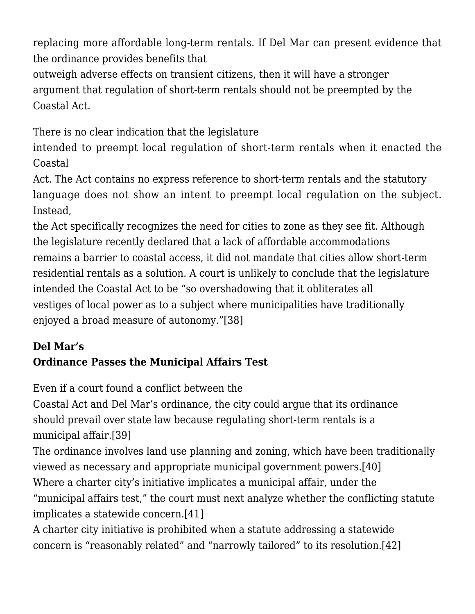replacing more affordable long-term rentals. If Del Mar can present evidence that the ordinance provides benefits that

outweigh adverse effects on transient citizens, then it will have a stronger argument that regulation of short-term rentals should not be preempted by the Coastal Act.

There is no clear indication that the legislature

intended to preempt local regulation of short-term rentals when it enacted the Coastal

Act. The Act contains no express reference to short-term rentals and the statutory language does not show an intent to preempt local regulation on the subject. Instead,

the Act specifically recognizes the need for cities to zone as they see fit. Although the legislature recently declared that a lack of affordable accommodations remains a barrier to coastal access, it did not mandate that cities allow short-term residential rentals as a solution. A court is unlikely to conclude that the legislature intended the Coastal Act to be "so overshadowing that it obliterates all vestiges of local power as to a subject where municipalities have traditionally enjoyed a broad measure of autonomy."[\[38\]](#page--1-0)

#### **Del Mar's Ordinance Passes the Municipal Affairs Test**

Even if a court found a conflict between the

Coastal Act and Del Mar's ordinance, the city could argue that its ordinance should prevail over state law because regulating short-term rentals is a municipal affair[.\[39\]](#page--1-0)

The ordinance involves land use planning and zoning, which have been traditionally viewed as necessary and appropriate municipal government powers.[\[40\]](#page--1-0) Where a charter city's initiative implicates a municipal affair, under the

"municipal affairs test," the court must next analyze whether the conflicting statute implicates a statewide concern.[\[41\]](#page--1-0)

A charter city initiative is prohibited when a statute addressing a statewide concern is "reasonably related" and "narrowly tailored" to its resolution[.\[42\]](#page--1-0)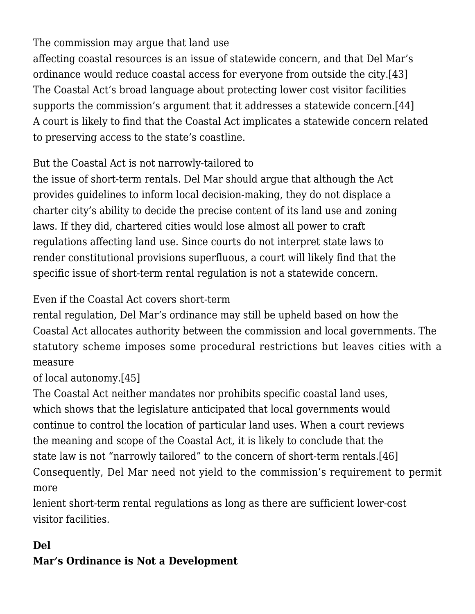The commission may argue that land use affecting coastal resources is an issue of statewide concern, and that Del Mar's ordinance would reduce coastal access for everyone from outside the city.[\[43\]](#page--1-0) The Coastal Act's broad language about protecting lower cost visitor facilities supports the commission's argument that it addresses a statewide concern[.\[44\]](#page--1-0) A court is likely to find that the Coastal Act implicates a statewide concern related to preserving access to the state's coastline.

## But the Coastal Act is not narrowly-tailored to

the issue of short-term rentals. Del Mar should argue that although the Act provides guidelines to inform local decision-making, they do not displace a charter city's ability to decide the precise content of its land use and zoning laws. If they did, chartered cities would lose almost all power to craft regulations affecting land use. Since courts do not interpret state laws to render constitutional provisions superfluous, a court will likely find that the specific issue of short-term rental regulation is not a statewide concern.

## Even if the Coastal Act covers short-term

rental regulation, Del Mar's ordinance may still be upheld based on how the Coastal Act allocates authority between the commission and local governments. The statutory scheme imposes some procedural restrictions but leaves cities with a measure

#### of local autonomy.[\[45\]](#page--1-0)

The Coastal Act neither mandates nor prohibits specific coastal land uses, which shows that the legislature anticipated that local governments would continue to control the location of particular land uses. When a court reviews the meaning and scope of the Coastal Act, it is likely to conclude that the state law is not "narrowly tailored" to the concern of short-term rentals[.\[46\]](#page--1-0) Consequently, Del Mar need not yield to the commission's requirement to permit more

lenient short-term rental regulations as long as there are sufficient lower-cost visitor facilities.

# **Del Mar's Ordinance is Not a Development**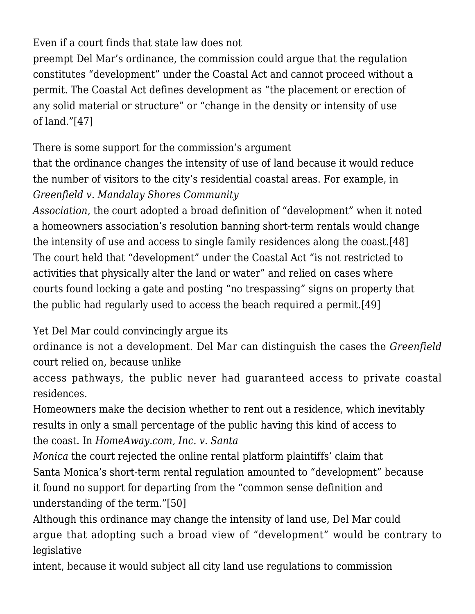Even if a court finds that state law does not

preempt Del Mar's ordinance, the commission could argue that the regulation constitutes "development" under the Coastal Act and cannot proceed without a permit. The Coastal Act defines development as "the placement or erection of any solid material or structure" or "change in the density or intensity of use of land."[\[47\]](#page--1-0)

There is some support for the commission's argument

that the ordinance changes the intensity of use of land because it would reduce the number of visitors to the city's residential coastal areas. For example, in *Greenfield v. Mandalay Shores Community*

*Association*, the court adopted a broad definition of "development" when it noted a homeowners association's resolution banning short-term rentals would change the intensity of use and access to single family residences along the coast.[\[48\]](#page--1-0) The court held that "development" under the Coastal Act "is not restricted to activities that physically alter the land or water" and relied on cases where courts found locking a gate and posting "no trespassing" signs on property that the public had regularly used to access the beach required a permit.[\[49\]](#page--1-0)

Yet Del Mar could convincingly argue its

ordinance is not a development. Del Mar can distinguish the cases the *Greenfield* court relied on, because unlike

access pathways, the public never had guaranteed access to private coastal residences.

Homeowners make the decision whether to rent out a residence, which inevitably results in only a small percentage of the public having this kind of access to the coast. In *HomeAway.com, Inc. v. Santa*

*Monica* the court rejected the online rental platform plaintiffs' claim that Santa Monica's short-term rental regulation amounted to "development" because it found no support for departing from the "common sense definition and understanding of the term.["\[50\]](#page--1-0)

Although this ordinance may change the intensity of land use, Del Mar could argue that adopting such a broad view of "development" would be contrary to legislative

intent, because it would subject all city land use regulations to commission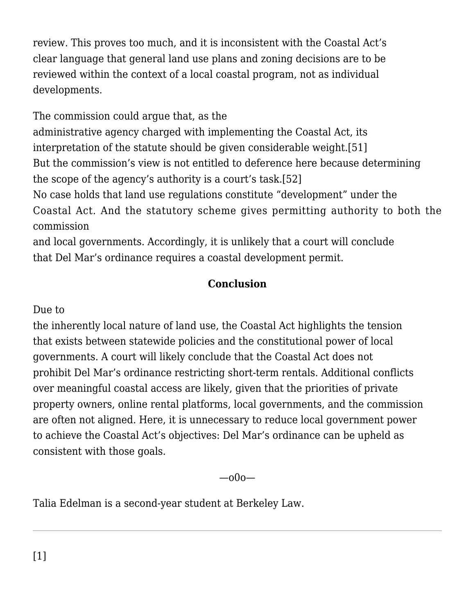review. This proves too much, and it is inconsistent with the Coastal Act's clear language that general land use plans and zoning decisions are to be reviewed within the context of a local coastal program, not as individual developments.

The commission could argue that, as the

administrative agency charged with implementing the Coastal Act, its interpretation of the statute should be given considerable weight.[\[51\]](#page--1-0) But the commission's view is not entitled to deference here because determining the scope of the agency's authority is a court's task[.\[52\]](#page--1-0)

No case holds that land use regulations constitute "development" under the Coastal Act. And the statutory scheme gives permitting authority to both the commission

and local governments. Accordingly, it is unlikely that a court will conclude that Del Mar's ordinance requires a coastal development permit.

#### **Conclusion**

#### Due to

the inherently local nature of land use, the Coastal Act highlights the tension that exists between statewide policies and the constitutional power of local governments. A court will likely conclude that the Coastal Act does not prohibit Del Mar's ordinance restricting short-term rentals. Additional conflicts over meaningful coastal access are likely, given that the priorities of private property owners, online rental platforms, local governments, and the commission are often not aligned. Here, it is unnecessary to reduce local government power to achieve the Coastal Act's objectives: Del Mar's ordinance can be upheld as consistent with those goals.

—o0o—

Talia Edelman is a second-year student at Berkeley Law.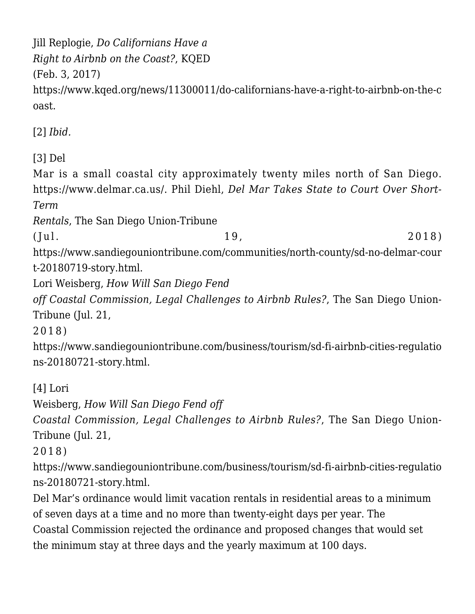Jill Replogie, *Do Californians Have a Right to Airbnb on the Coast?*, KQED

(Feb. 3, 2017)

https://www.kqed.org/news/11300011/do-californians-have-a-right-to-airbnb-on-the-c oast.

[\[2\]](#page--1-0) *Ibid.*

[\[3\]](#page--1-0) Del

Mar is a small coastal city approximately twenty miles north of San Diego. [https://www.delmar.ca.us/.](https://www.delmar.ca.us/) Phil Diehl, *Del Mar Takes State to Court Over Short-Term*

*Rentals*, The San Diego Union-Tribune

 $(Jul. 19, 2018)$ 

[https://www.sandiegouniontribune.com/communities/north-county/sd-no-delmar-cour](https://www.sandiegouniontribune.com/communities/north-county/sd-no-delmar-court-20180719-story.html) [t-20180719-story.html](https://www.sandiegouniontribune.com/communities/north-county/sd-no-delmar-court-20180719-story.html).

Lori Weisberg, *How Will San Diego Fend*

*off Coastal Commission, Legal Challenges to Airbnb Rules?*, The San Diego Union-Tribune (Jul. 21,

2018)

[https://www.sandiegouniontribune.com/business/tourism/sd-fi-airbnb-cities-regulatio](https://www.sandiegouniontribune.com/business/tourism/sd-fi-airbnb-cities-regulations-20180721-story.html) [ns-20180721-story.html.](https://www.sandiegouniontribune.com/business/tourism/sd-fi-airbnb-cities-regulations-20180721-story.html)

[\[4\]](#page--1-0) Lori

Weisberg, *How Will San Diego Fend off*

*Coastal Commission, Legal Challenges to Airbnb Rules?*, The San Diego Union-Tribune (Jul. 21,

2018)

[https://www.sandiegouniontribune.com/business/tourism/sd-fi-airbnb-cities-regulatio](https://www.sandiegouniontribune.com/business/tourism/sd-fi-airbnb-cities-regulations-20180721-story.html) [ns-20180721-story.html.](https://www.sandiegouniontribune.com/business/tourism/sd-fi-airbnb-cities-regulations-20180721-story.html)

Del Mar's ordinance would limit vacation rentals in residential areas to a minimum of seven days at a time and no more than twenty-eight days per year. The Coastal Commission rejected the ordinance and proposed changes that would set the minimum stay at three days and the yearly maximum at 100 days.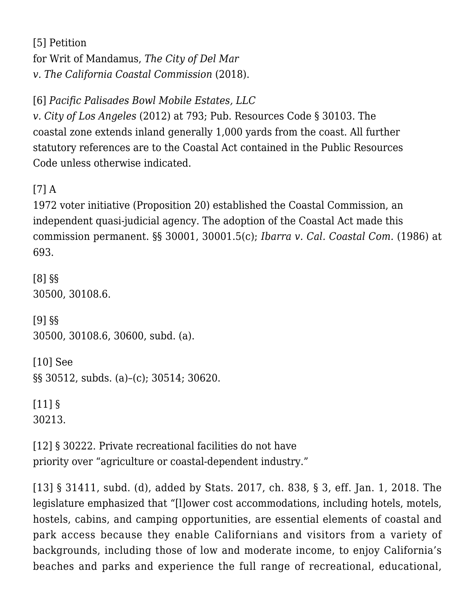[\[5\]](#page--1-0) [Petition](https://www.voiceofsandiego.org/wp-content/uploads/2018/09/Del-Mar-Writ-of-Mandate.pdf) [for Writ of Mandamus,](https://www.voiceofsandiego.org/wp-content/uploads/2018/09/Del-Mar-Writ-of-Mandate.pdf) *[The City of Del Mar](https://www.voiceofsandiego.org/wp-content/uploads/2018/09/Del-Mar-Writ-of-Mandate.pdf) [v. The California Coastal Commission](https://www.voiceofsandiego.org/wp-content/uploads/2018/09/Del-Mar-Writ-of-Mandate.pdf)* (2018).

[\[6\]](#page--1-0) *[Pacific Palisades Bowl Mobile Estates, LLC](https://scholar.google.com/scholar_case?case=2417615258377864067&q=55+Cal.4th+783&hl=en&as_sdt=2006)*

*[v. City of Los Angeles](https://scholar.google.com/scholar_case?case=2417615258377864067&q=55+Cal.4th+783&hl=en&as_sdt=2006)* (2012) at 793; Pub. Resources Code § 30103. The coastal zone extends inland generally 1,000 yards from the coast. All further statutory references are to the Coastal Act contained in the Public Resources Code unless otherwise indicated.

[\[7\]](#page--1-0) A

1972 voter initiative (Proposition 20) established the Coastal Commission, an independent quasi-judicial agency. The adoption of the Coastal Act made this commission permanent. §§ 30001, 30001.5(c); *[Ibarra v. Cal. Coastal Com.](https://scholar.google.com/scholar_case?case=12587635383241489474&q=182+Cal.App.3d+687&hl=en&as_sdt=2006)* (1986) at 693.

[\[8\]](#page--1-0) §§ 30500, 30108.6. [\[9\]](#page--1-0) §§ 30500, 30108.6, 30600, subd. (a). [\[10\]](#page--1-0) See

§§ 30512, subds. (a)–(c); 30514; 30620.

[\[11\]](#page--1-0) §

30213.

[\[12\]](#page--1-0) § 30222. Private recreational facilities do not have priority over "agriculture or coastal-dependent industry."

[\[13\]](#page--1-0) § 31411, subd. (d), added by Stats. 2017, ch. 838, § 3, eff. Jan. 1, 2018. The legislature emphasized that "[l]ower cost accommodations, including hotels, motels, hostels, cabins, and camping opportunities, are essential elements of coastal and park access because they enable Californians and visitors from a variety of backgrounds, including those of low and moderate income, to enjoy California's beaches and parks and experience the full range of recreational, educational,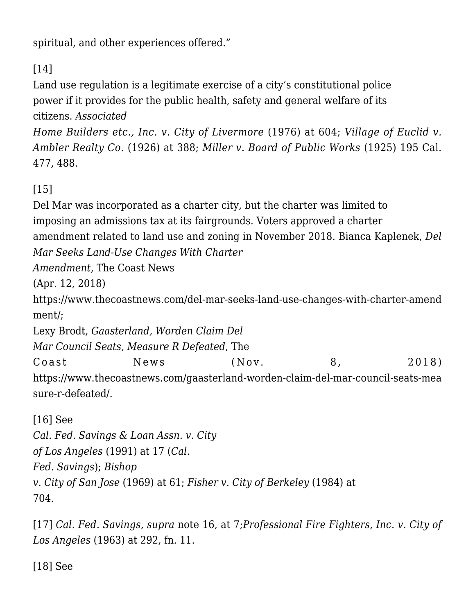spiritual, and other experiences offered."

# [\[14\]](#page--1-0)

Land use regulation is a legitimate exercise of a city's constitutional police power if it provides for the public health, safety and general welfare of its citizens. *[Associated](https://scholar.google.com/scholar_case?case=15479987272763509129&q=18+Cal.3d+582&hl=en&as_sdt=2006)*

*[Home Builders etc., Inc. v. City of Livermore](https://scholar.google.com/scholar_case?case=15479987272763509129&q=18+Cal.3d+582&hl=en&as_sdt=2006)* (1976) at 604; *[Village of Euclid v.](https://scholar.google.com/scholar_case?case=8376015914752485063&q=272+U.S.+365&hl=en&as_sdt=2006) [Ambler Realty Co.](https://scholar.google.com/scholar_case?case=8376015914752485063&q=272+U.S.+365&hl=en&as_sdt=2006)* (1926) at 388; *Miller v. Board of Public Works* (1925) 195 Cal. 477, 488.

## [\[15\]](#page--1-0)

Del Mar was incorporated as a charter city, but the charter was limited to imposing an admissions tax at its fairgrounds. Voters approved a charter amendment related to land use and zoning in November 2018. Bianca Kaplenek, *Del Mar Seeks Land-Use Changes With Charter*

*Amendment*, The Coast News

(Apr. 12, 2018)

https://www.thecoastnews.com/del-mar-seeks-land-use-changes-with-charter-amend ment/;

Lexy Brodt, *Gaasterland, Worden Claim Del*

*Mar Council Seats, Measure R Defeated*, The

Coast News (Nov. 8, 2018) https://www.thecoastnews.com/gaasterland-worden-claim-del-mar-council-seats-mea sure-r-defeated/.

[\[16\]](#page--1-0) See *[Cal. Fed. Savings & Loan Assn. v. City](https://scholar.google.com/scholar_case?case=13398148860947069229&q=54+Cal.3d+1&hl=en&as_sdt=2006) [of Los Angeles](https://scholar.google.com/scholar_case?case=13398148860947069229&q=54+Cal.3d+1&hl=en&as_sdt=2006)* (1991) at 17 (*Cal. Fed. Savings*); *[Bishop](https://scholar.google.com/scholar_case?case=2425107852018821681&q=1+Cal.3d+56&hl=en&as_sdt=2006) [v. City of San Jose](https://scholar.google.com/scholar_case?case=2425107852018821681&q=1+Cal.3d+56&hl=en&as_sdt=2006)* (1969) at 61; *[Fisher v. City of Berkeley](https://scholar.google.com/scholar_case?case=1981419336724016158&q=37+Cal.3d+644&hl=en&as_sdt=2006)* (1984) at 704.

[\[17\]](#page--1-0) *[Cal. Fed. Savings,](https://scholar.google.com/scholar_case?case=13398148860947069229&q=54+Cal.3d+1&hl=en&as_sdt=2006) supra* note 16, at 7;*[Professional Fire Fighters, Inc. v. City of](https://scholar.google.com/scholar_case?case=8242750434507575982&q=60+Cal.2d+276&hl=en&as_sdt=2006) [Los Angeles](https://scholar.google.com/scholar_case?case=8242750434507575982&q=60+Cal.2d+276&hl=en&as_sdt=2006)* (1963) at 292, fn. 11.

[\[18\]](#page--1-0) See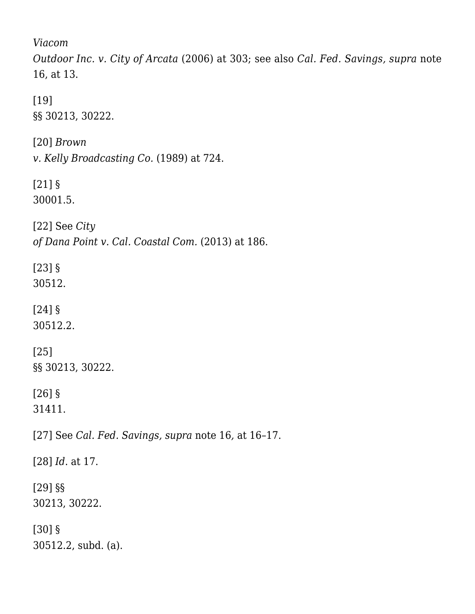*[Viacom](https://scholar.google.com/scholar_case?case=12645893432463676805&q=140+Cal.App.4th+230&hl=en&as_sdt=2006)*

*[Outdoor Inc. v. City of Arcata](https://scholar.google.com/scholar_case?case=12645893432463676805&q=140+Cal.App.4th+230&hl=en&as_sdt=2006)* (2006) at 303; see also *[Cal. Fed. Savings,](https://scholar.google.com/scholar_case?case=13398148860947069229&q=54+Cal.3d+1&hl=en&as_sdt=2006) supra* note 16, at 13.

[\[19\]](#page--1-0) §§ 30213, 30222.

[\[20\]](#page--1-0) *[Brown](https://scholar.google.com/scholar_case?case=14135833999841810189&q=48+Cal.3d+711&hl=en&as_sdt=2006) [v. Kelly Broadcasting Co.](https://scholar.google.com/scholar_case?case=14135833999841810189&q=48+Cal.3d+711&hl=en&as_sdt=2006)* (1989) at 724.

[\[21\]](#page--1-0) § 30001.5.

[\[22\]](#page--1-0) See *[City](https://scholar.google.com/scholar_case?case=2335902178321073827&q=217+Cal.App.4th+170&hl=en&as_sdt=2006) [of Dana Point v. Cal. Coastal Com.](https://scholar.google.com/scholar_case?case=2335902178321073827&q=217+Cal.App.4th+170&hl=en&as_sdt=2006)* (2013) at 186.

[\[23\]](#page--1-0) § 30512.

[\[24\]](#page--1-0) § 30512.2.

[\[25\]](#page--1-0) §§ 30213, 30222.

[\[26\]](#page--1-0) § 31411.

[\[27\]](#page--1-0) See *[Cal. Fed. Savings](https://scholar.google.com/scholar_case?case=13398148860947069229&q=54+Cal.3d+1&hl=en&as_sdt=2006), supra* note 16*,* at 16–17.

[\[28\]](#page--1-0) *Id*. at 17.

[\[29\]](#page--1-0) §§ 30213, 30222.

[\[30\]](#page--1-0) § 30512.2, subd. (a).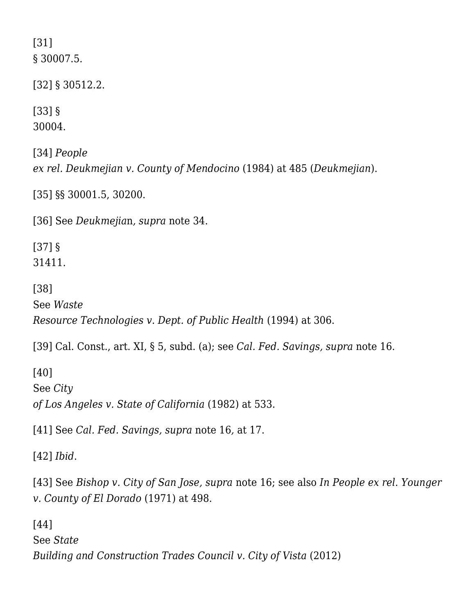[\[31\]](#page--1-0) § 30007.5.

[\[32\]](#page--1-0) § 30512.2.

[\[33\]](#page--1-0) § 30004.

[\[34\]](#page--1-0) *[People](https://scholar.google.com/scholar_case?case=9953882248499076673&q=36+Cal.3d+476&hl=en&as_sdt=2006) [ex rel. Deukmejian v. County of Mendocino](https://scholar.google.com/scholar_case?case=9953882248499076673&q=36+Cal.3d+476&hl=en&as_sdt=2006)* (1984) at 485 (*Deukmejian*).

[\[35\]](#page--1-0) §§ 30001.5, 30200.

[\[36\]](#page--1-0) See *[Deukmejia](https://scholar.google.com/scholar_case?case=9953882248499076673&q=36+Cal.3d+476&hl=en&as_sdt=2006)*n*, supra* note 34.

[\[37\]](#page--1-0) § 31411.

[\[38\]](#page--1-0)

See *[Waste](https://scholar.google.com/scholar_case?case=6738090814618385962&q=23+Cal.App.4th+299&hl=en&as_sdt=2006) [Resource Technologies v. Dept. of Public Health](https://scholar.google.com/scholar_case?case=6738090814618385962&q=23+Cal.App.4th+299&hl=en&as_sdt=2006)* (1994) at 306.

[\[39\]](#page--1-0) Cal. Const., art. XI, § 5, subd. (a); see *[Cal. Fed. Savings,](https://scholar.google.com/scholar_case?case=13398148860947069229&q=54+Cal.3d+1&hl=en&as_sdt=2006) supra* note 16.

[\[40\]](#page--1-0) See *[City](https://scholar.google.com/scholar_case?case=4596366437342468340&q=%22The+State+of+California+and+the+State+Attorney+General+appeal+from+the+judgment+entered+in+favor+of+the+City+of+Los+Angeles+declaring+subdivision+(d)+of+Government+Code+section+65860+to+be%22&hl=en&as_sdt=4,5) [of Los Angeles v. State of California](https://scholar.google.com/scholar_case?case=4596366437342468340&q=%22The+State+of+California+and+the+State+Attorney+General+appeal+from+the+judgment+entered+in+favor+of+the+City+of+Los+Angeles+declaring+subdivision+(d)+of+Government+Code+section+65860+to+be%22&hl=en&as_sdt=4,5)* (1982) at 533.

[\[41\]](#page--1-0) See *[Cal. Fed. Savings](https://scholar.google.com/scholar_case?case=13398148860947069229&q=54+Cal.3d+1&hl=en&as_sdt=2006), supra* note 16*,* at 17.

[\[42\]](#page--1-0) *Ibid*.

[\[43\]](#page--1-0) See *[Bishop v. City of San Jose](https://scholar.google.com/scholar_case?case=2425107852018821681&q=1+Cal.3d+56&hl=en&as_sdt=2006), supra* note 16; see also *[In People ex rel. Younger](https://scholar.google.com/scholar_case?case=9628221900162190762&q=5+Cal.3d+480&hl=en&as_sdt=2006) [v. County of El Dorado](https://scholar.google.com/scholar_case?case=9628221900162190762&q=5+Cal.3d+480&hl=en&as_sdt=2006)* (1971) at 498.

[\[44\]](#page--1-0) See *[State](https://scholar.google.com/scholar_case?case=5285380165536090584&q=54+Cal.4th+547&hl=en&as_sdt=2006) [Building and Construction Trades Council v. City of Vista](https://scholar.google.com/scholar_case?case=5285380165536090584&q=54+Cal.4th+547&hl=en&as_sdt=2006)* (2012)